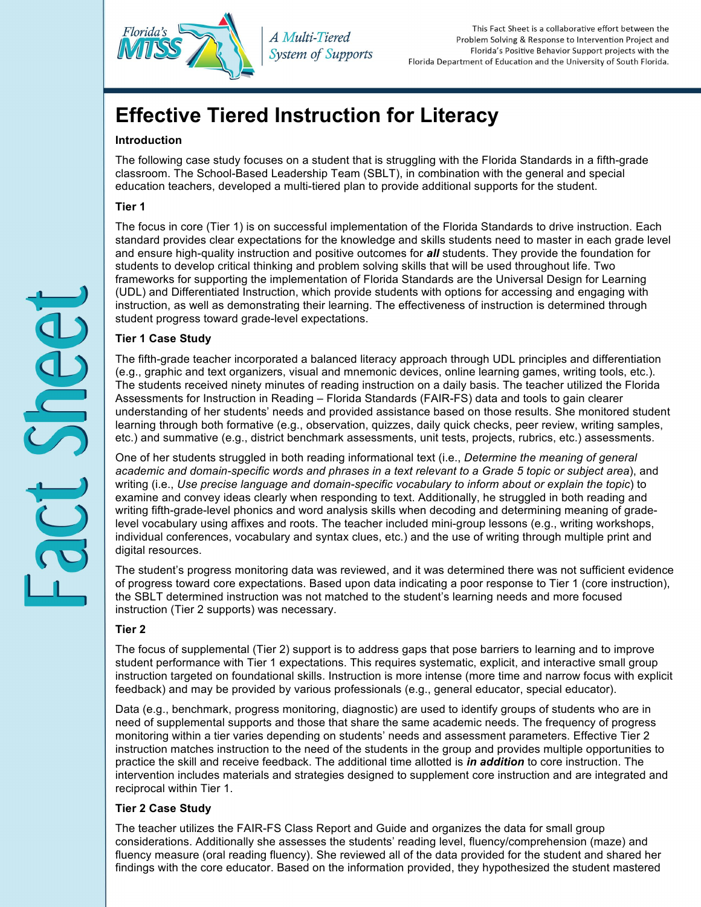

*A Multi-Tiered System of Supports* 

This Fact Sheet is a collaborative effort between the Problem Solving & Response to Intervention Project and Florida's Positive Behavior Support projects with the Florida Department of Education and the University of South Florida.

# **Effective Tiered Instruction for Literacy**

# **Introduction**

 The following case study focuses on a student that is struggling with the Florida Standards in a fifth-grade classroom. The School-Based Leadership Team (SBLT), in combination with the general and special education teachers, developed a multi-tiered plan to provide additional supports for the student.

# **Tier 1**

 The focus in core (Tier 1) is on successful implementation of the Florida Standards to drive instruction. Each and ensure high-quality instruction and positive outcomes for *all* students. They provide the foundation for students to develop critical thinking and problem solving skills that will be used throughout life. Two frameworks for supporting the implementation of Florida Standards are the Universal Design for Learning instruction, as well as demonstrating their learning. The effectiveness of instruction is determined through standard provides clear expectations for the knowledge and skills students need to master in each grade level (UDL) and Differentiated Instruction, which provide students with options for accessing and engaging with student progress toward grade-level expectations.

## **Tier 1 Case Study**

 (e.g., graphic and text organizers, visual and mnemonic devices, online learning games, writing tools, etc.). The students received ninety minutes of reading instruction on a daily basis. The teacher utilized the Florida Assessments for Instruction in Reading – Florida Standards (FAIR-FS) data and tools to gain clearer understanding of her students' needs and provided assistance based on those results. She monitored student learning through both formative (e.g., observation, quizzes, daily quick checks, peer review, writing samples, etc.) and summative (e.g., district benchmark assessments, unit tests, projects, rubrics, etc.) assessments. The fifth-grade teacher incorporated a balanced literacy approach through UDL principles and differentiation

 One of her students struggled in both reading informational text (i.e., *Determine the meaning of general academic and domain-specific words and phrases in a text relevant to a Grade 5 topic or subject area*), and writing (i.e., *Use precise language and domain-specific vocabulary to inform about or explain the topic*) to examine and convey ideas clearly when responding to text. Additionally, he struggled in both reading and writing fifth-grade-level phonics and word analysis skills when decoding and determining meaning of grade- level vocabulary using affixes and roots. The teacher included mini-group lessons (e.g., writing workshops, individual conferences, vocabulary and syntax clues, etc.) and the use of writing through multiple print and digital resources.

 The student's progress monitoring data was reviewed, and it was determined there was not sufficient evidence of progress toward core expectations. Based upon data indicating a poor response to Tier 1 (core instruction), the SBLT determined instruction was not matched to the student's learning needs and more focused instruction (Tier 2 supports) was necessary.

## **Tier 2**

 The focus of supplemental (Tier 2) support is to address gaps that pose barriers to learning and to improve student performance with Tier 1 expectations. This requires systematic, explicit, and interactive small group instruction targeted on foundational skills. Instruction is more intense (more time and narrow focus with explicit feedback) and may be provided by various professionals (e.g., general educator, special educator).

 Data (e.g., benchmark, progress monitoring, diagnostic) are used to identify groups of students who are in need of supplemental supports and those that share the same academic needs. The frequency of progress monitoring within a tier varies depending on students' needs and assessment parameters. Effective Tier 2 practice the skill and receive feedback. The additional time allotted is *in addition* to core instruction. The intervention includes materials and strategies designed to supplement core instruction and are integrated and reciprocal within Tier 1. instruction matches instruction to the need of the students in the group and provides multiple opportunities to

# **Tier 2 Case Study**

 The teacher utilizes the FAIR-FS Class Report and Guide and organizes the data for small group considerations. Additionally she assesses the students' reading level, fluency/comprehension (maze) and fluency measure (oral reading fluency). She reviewed all of the data provided for the student and shared her findings with the core educator. Based on the information provided, they hypothesized the student mastered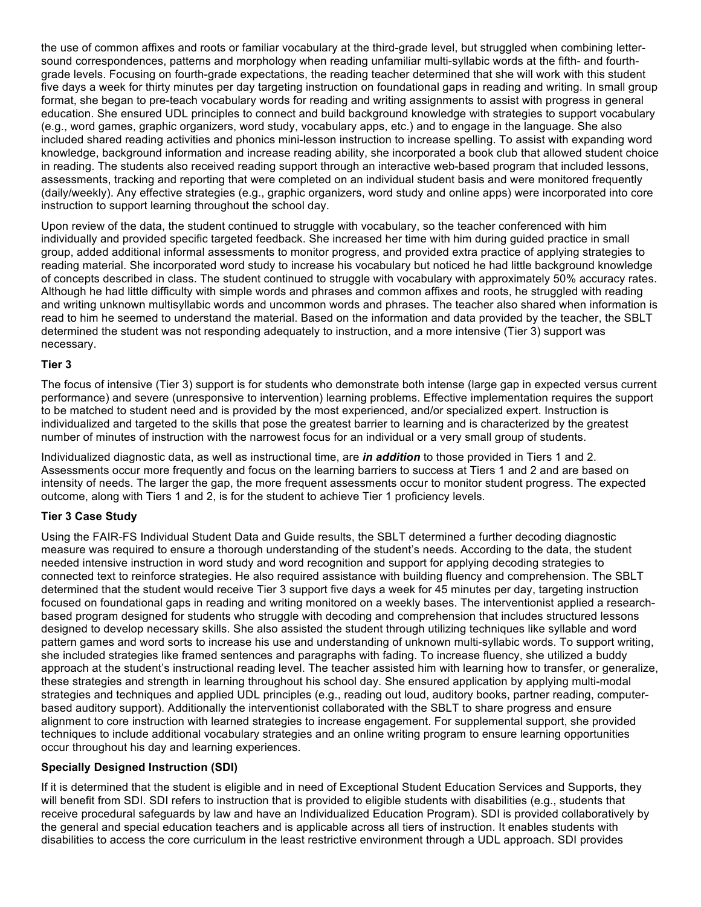the use of common affixes and roots or familiar vocabulary at the third-grade level, but struggled when combining letter- sound correspondences, patterns and morphology when reading unfamiliar multi-syllabic words at the fifth- and fourth- grade levels. Focusing on fourth-grade expectations, the reading teacher determined that she will work with this student format, she began to pre-teach vocabulary words for reading and writing assignments to assist with progress in general education. She ensured UDL principles to connect and build background knowledge with strategies to support vocabulary (e.g., word games, graphic organizers, word study, vocabulary apps, etc.) and to engage in the language. She also included shared reading activities and phonics mini-lesson instruction to increase spelling. To assist with expanding word knowledge, background information and increase reading ability, she incorporated a book club that allowed student choice in reading. The students also received reading support through an interactive web-based program that included lessons, assessments, tracking and reporting that were completed on an individual student basis and were monitored frequently (daily/weekly). Any effective strategies (e.g., graphic organizers, word study and online apps) were incorporated into core instruction to support learning throughout the school day. five days a week for thirty minutes per day targeting instruction on foundational gaps in reading and writing. In small group

 Upon review of the data, the student continued to struggle with vocabulary, so the teacher conferenced with him individually and provided specific targeted feedback. She increased her time with him during guided practice in small group, added additional informal assessments to monitor progress, and provided extra practice of applying strategies to reading material. She incorporated word study to increase his vocabulary but noticed he had little background knowledge of concepts described in class. The student continued to struggle with vocabulary with approximately 50% accuracy rates. Although he had little difficulty with simple words and phrases and common affixes and roots, he struggled with reading and writing unknown multisyllabic words and uncommon words and phrases. The teacher also shared when information is read to him he seemed to understand the material. Based on the information and data provided by the teacher, the SBLT determined the student was not responding adequately to instruction, and a more intensive (Tier 3) support was necessary.

#### **Tier 3**

 The focus of intensive (Tier 3) support is for students who demonstrate both intense (large gap in expected versus current individualized and targeted to the skills that pose the greatest barrier to learning and is characterized by the greatest number of minutes of instruction with the narrowest focus for an individual or a very small group of students. performance) and severe (unresponsive to intervention) learning problems. Effective implementation requires the support to be matched to student need and is provided by the most experienced, and/or specialized expert. Instruction is

 Individualized diagnostic data, as well as instructional time, are *in addition* to those provided in Tiers 1 and 2. Assessments occur more frequently and focus on the learning barriers to success at Tiers 1 and 2 and are based on intensity of needs. The larger the gap, the more frequent assessments occur to monitor student progress. The expected outcome, along with Tiers 1 and 2, is for the student to achieve Tier 1 proficiency levels.

#### **Tier 3 Case Study**

 Using the FAIR-FS Individual Student Data and Guide results, the SBLT determined a further decoding diagnostic measure was required to ensure a thorough understanding of the student's needs. According to the data, the student needed intensive instruction in word study and word recognition and support for applying decoding strategies to connected text to reinforce strategies. He also required assistance with building fluency and comprehension. The SBLT determined that the student would receive Tier 3 support five days a week for 45 minutes per day, targeting instruction designed to develop necessary skills. She also assisted the student through utilizing techniques like syllable and word pattern games and word sorts to increase his use and understanding of unknown multi-syllabic words. To support writing, she included strategies like framed sentences and paragraphs with fading. To increase fluency, she utilized a buddy approach at the student's instructional reading level. The teacher assisted him with learning how to transfer, or generalize, strategies and techniques and applied UDL principles (e.g., reading out loud, auditory books, partner reading, computer- based auditory support). Additionally the interventionist collaborated with the SBLT to share progress and ensure alignment to core instruction with learned strategies to increase engagement. For supplemental support, she provided occur throughout his day and learning experiences. focused on foundational gaps in reading and writing monitored on a weekly bases. The interventionist applied a researchbased program designed for students who struggle with decoding and comprehension that includes structured lessons these strategies and strength in learning throughout his school day. She ensured application by applying multi-modal techniques to include additional vocabulary strategies and an online writing program to ensure learning opportunities

#### **Specially Designed Instruction (SDI)**

 If it is determined that the student is eligible and in need of Exceptional Student Education Services and Supports, they will benefit from SDI. SDI refers to instruction that is provided to eligible students with disabilities (e.g., students that receive procedural safeguards by law and have an Individualized Education Program). SDI is provided collaboratively by disabilities to access the core curriculum in the least restrictive environment through a UDL approach. SDI provides the general and special education teachers and is applicable across all tiers of instruction. It enables students with